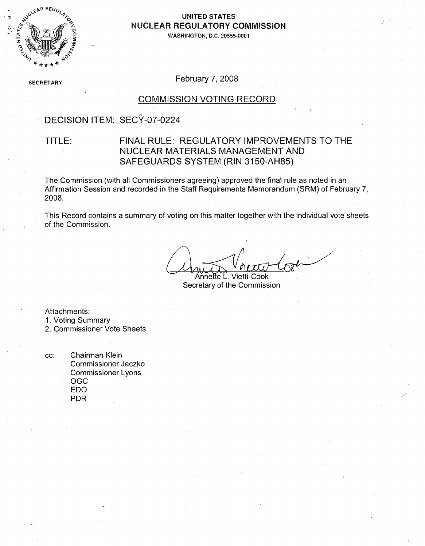

#### **UNITED STATES NUCLEAR** REGULATORY **COMMISSION**

**WASHINGTON, D.C. 20555-0001**

**SECRETARY** 

February 7, 2008

#### COMMISSION VOTING RECORD

### DECISION ITEM: SECY-07-0224

#### TITLE: FINAL RULE: REGULATORY IMPROVEMENTS TO THE NUCLEAR MATERIALS MANAGEMENT AND SAFEGUARDS SYSTEM (RIN 3150-AH85)

The Commission (with all Commissioners agreeing) approved the final rule as noted in an Affirmation Session and recorded in the Staff Requirements Memorandum (SRM) of February **7,** 2008.

This Record contains a summary of voting on this matter together with the individual vote sheets of the Commission.

Annette L. Vietti-Cook Secretary of the Commission

Attachments:

•1. Voting Summary

2. Commissioner Vote Sheets

cc: Chairman Klein Commissioner Jaczko Commissioner Lyons **OGC** EDO PDR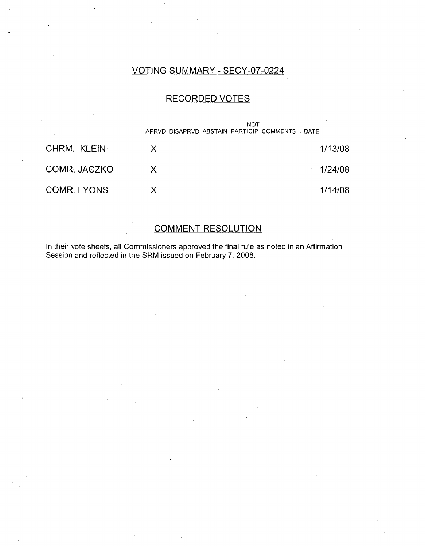### VOTING SUMMARY - SECY-07-0224

#### RECORDED VOTES

|              | NOT<br>APRVD DISAPRVD ABSTAIN PARTICIP COMMENTS DATE |                   |
|--------------|------------------------------------------------------|-------------------|
| CHRM, KLEIN  |                                                      | 1/13/08           |
| COMR. JACZKO |                                                      | 1/24/08<br>$\sim$ |
| COMR, LYONS  |                                                      | 1/14/08           |

### COMMENT RESOLUTION

In their vote sheets, all Commissioners approved the final rule as noted in an Affirmation Session and reflected in the SRM issued on February 7, 2008.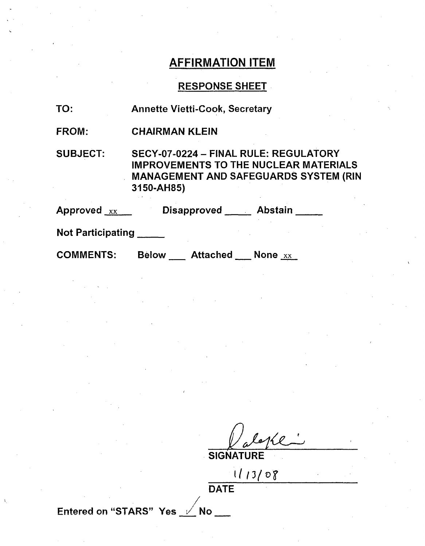### AFFIRMATION ITEM

### RESPONSE SHEET

| TO:                                                 | <b>Annette Vietti-Cook, Secretary</b>                                                                                                               |
|-----------------------------------------------------|-----------------------------------------------------------------------------------------------------------------------------------------------------|
| FROM:                                               | <b>CHAIRMAN KLEIN</b>                                                                                                                               |
| <b>SUBJECT:</b>                                     | SECY-07-0224 - FINAL RULE: REGULATORY<br><b>IMPROVEMENTS TO THE NUCLEAR MATERIALS</b><br><b>MANAGEMENT AND SAFEGUARDS SYSTEM (RIN</b><br>3150-AH85) |
| Approved $_{\rm xx}$ $_{\rm \scriptscriptstyle EX}$ | Disapproved Abstain                                                                                                                                 |
| $M = 1$ Death is at $m = 1$                         |                                                                                                                                                     |

Not Participating **\_**

COMMENTS: Below Attached None xx

 $\sqrt{\rho}$ 

**SIGNATURE** 

**1I3/vD'**

**DATE** 

Entered on "STARS" Yes **/** No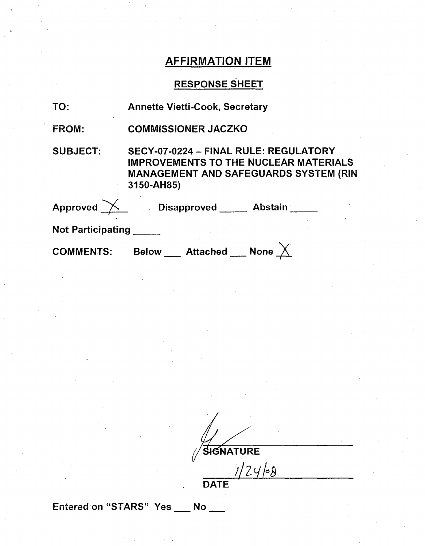## AFFIRMATION ITEM

# RESPONSE SHEET

| TO:               | <b>Annette Vietti-Cook, Secretary</b>                                                                                                               |  |
|-------------------|-----------------------------------------------------------------------------------------------------------------------------------------------------|--|
| <b>FROM:</b>      | <b>COMMISSIONER JACZKO</b>                                                                                                                          |  |
| <b>SUBJECT:</b>   | SECY-07-0224 - FINAL RULE: REGULATORY<br><b>IMPROVEMENTS TO THE NUCLEAR MATERIALS</b><br><b>MANAGEMENT AND SAFEGUARDS SYSTEM (RIN</b><br>3150-AH85) |  |
|                   | Approved X Disapproved Abstain                                                                                                                      |  |
| Not Participating |                                                                                                                                                     |  |
| <b>COMMENTS:</b>  | Below __ Attached __ None                                                                                                                           |  |

 $\mathcal{N}/\mathbf{S}$ f $\mathbf{F}$  and  $\mathbf{F}$ 

<u>У.</u>

**DATE** 

Entered on "STARS" Yes \_\_ No \_\_